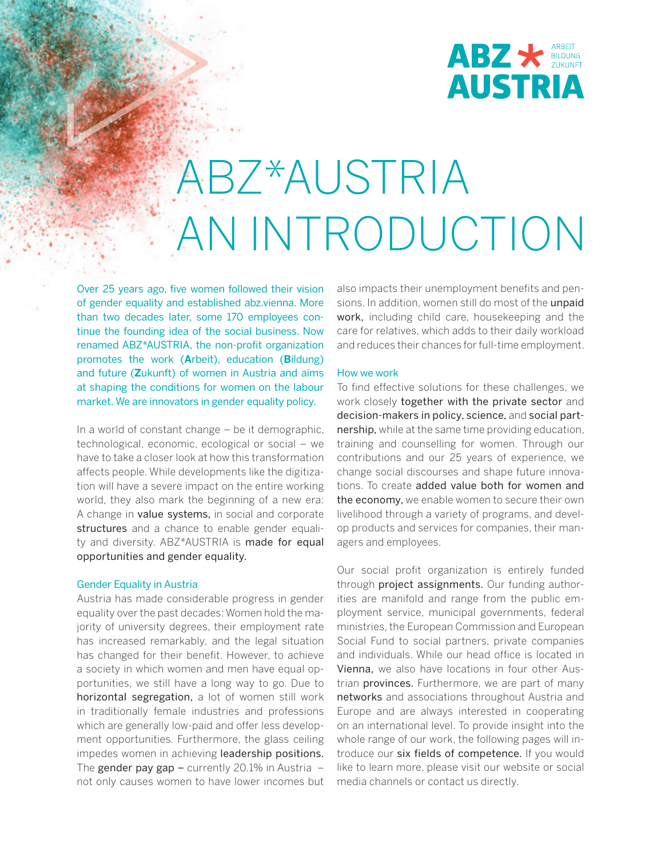

## ABZ\*AUSTRIA AN INTRODUCTION

Over 25 years ago, five women followed their vision of gender equality and established abz.vienna. More than two decades later, some 170 employees continue the founding idea of the social business. Now renamed ABZ\*AUSTRIA, the non-profit organization promotes the work (**A**rbeit), education (**B**ildung) and future (**Z**ukunft) of women in Austria and aims at shaping the conditions for women on the labour market. We are innovators in gender equality policy.

In a world of constant change – be it demographic, technological, economic, ecological or social – we have to take a closer look at how this transformation affects people. While developments like the digitization will have a severe impact on the entire working world, they also mark the beginning of a new era: A change in value systems, in social and corporate structures and a chance to enable gender equality and diversity. ABZ\*AUSTRIA is made for equal opportunities and gender equality.

#### Gender Equality in Austria

Austria has made considerable progress in gender equality over the past decades: Women hold the majority of university degrees, their employment rate has increased remarkably, and the legal situation has changed for their benefit. However, to achieve a society in which women and men have equal opportunities, we still have a long way to go. Due to horizontal segregation, a lot of women still work in traditionally female industries and professions which are generally low-paid and offer less development opportunities. Furthermore, the glass ceiling impedes women in achieving leadership positions. The gender pay gap  $-$  currently 20.1% in Austria  $$ not only causes women to have lower incomes but also impacts their unemployment benefits and pensions. In addition, women still do most of the unpaid work, including child care, housekeeping and the care for relatives, which adds to their daily workload and reduces their chances for full-time employment.

#### How we work

To find effective solutions for these challenges, we work closely together with the private sector and decision-makers in policy, science, and social partnership, while at the same time providing education, training and counselling for women. Through our contributions and our 25 years of experience, we change social discourses and shape future innovations. To create added value both for women and the economy, we enable women to secure their own livelihood through a variety of programs, and develop products and services for companies, their managers and employees.

Our social profit organization is entirely funded through project assignments. Our funding authorities are manifold and range from the public employment service, municipal governments, federal ministries, the European Commission and European Social Fund to social partners, private companies and individuals. While our head office is located in Vienna, we also have locations in four other Austrian **provinces.** Furthermore, we are part of many networks and associations throughout Austria and Europe and are always interested in cooperating on an international level. To provide insight into the whole range of our work, the following pages will introduce our six fields of competence. If you would like to learn more, please visit our website or social media channels or contact us directly.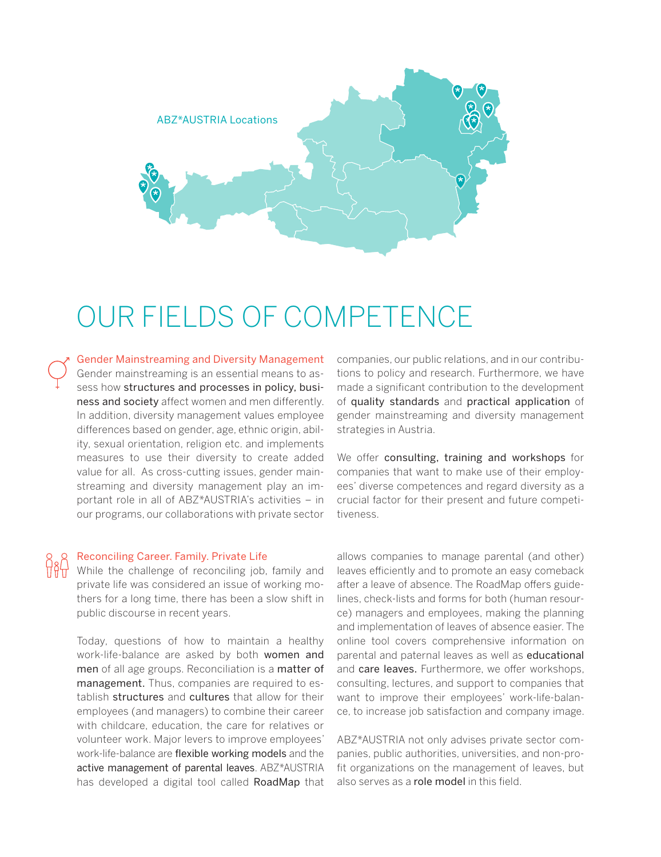

### OUR FIELDS OF COMPETENCE

Gender Mainstreaming and Diversity Management Gender mainstreaming is an essential means to assess how structures and processes in policy, business and society affect women and men differently. In addition, diversity management values employee differences based on gender, age, ethnic origin, ability, sexual orientation, religion etc. and implements measures to use their diversity to create added value for all. As cross-cutting issues, gender mainstreaming and diversity management play an important role in all of ABZ\*AUSTRIA's activities – in our programs, our collaborations with private sector

#### Reconciling Career. Family. Private Life

While the challenge of reconciling job, family and private life was considered an issue of working mothers for a long time, there has been a slow shift in public discourse in recent years.

Today, questions of how to maintain a healthy work-life-balance are asked by both women and men of all age groups. Reconciliation is a matter of management. Thus, companies are required to establish structures and cultures that allow for their employees (and managers) to combine their career with childcare, education, the care for relatives or volunteer work. Major levers to improve employees' work-life-balance are flexible working models and the active management of parental leaves. ABZ\*AUSTRIA has developed a digital tool called RoadMap that companies, our public relations, and in our contributions to policy and research. Furthermore, we have made a significant contribution to the development of quality standards and practical application of gender mainstreaming and diversity management strategies in Austria.

We offer consulting, training and workshops for companies that want to make use of their employees' diverse competences and regard diversity as a crucial factor for their present and future competitiveness.

allows companies to manage parental (and other) leaves efficiently and to promote an easy comeback after a leave of absence. The RoadMap offers guidelines, check-lists and forms for both (human resource) managers and employees, making the planning and implementation of leaves of absence easier. The online tool covers comprehensive information on parental and paternal leaves as well as educational and care leaves. Furthermore, we offer workshops, consulting, lectures, and support to companies that want to improve their employees' work-life-balance, to increase job satisfaction and company image.

ABZ\*AUSTRIA not only advises private sector companies, public authorities, universities, and non-profit organizations on the management of leaves, but also serves as a role model in this field.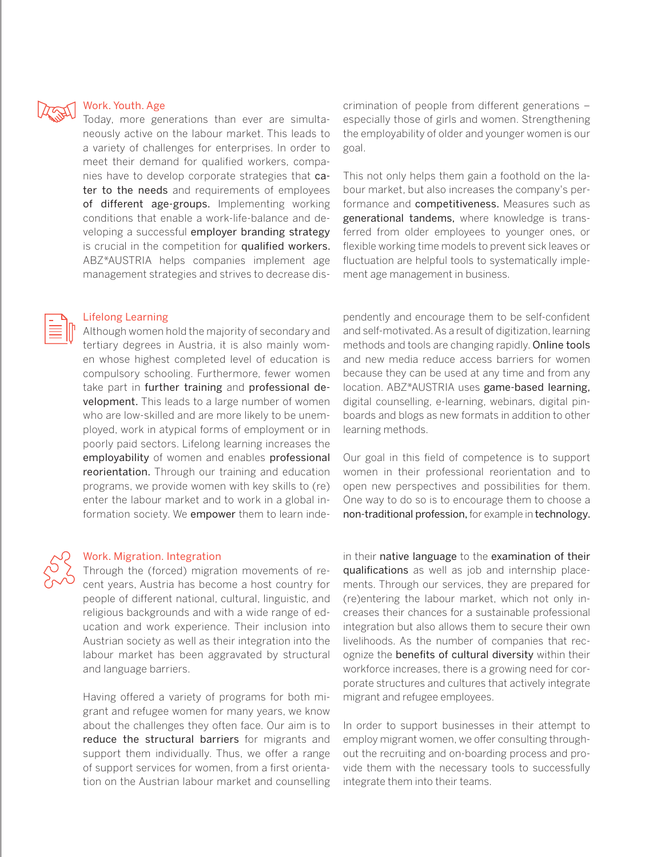

#### Work. Youth. Age

Today, more generations than ever are simultaneously active on the labour market. This leads to a variety of challenges for enterprises. In order to meet their demand for qualified workers, companies have to develop corporate strategies that cater to the needs and requirements of employees of different age-groups. Implementing working conditions that enable a work-life-balance and developing a successful employer branding strategy is crucial in the competition for qualified workers. ABZ\*AUSTRIA helps companies implement age management strategies and strives to decrease dis-

#### Lifelong Learning

Although women hold the majority of secondary and tertiary degrees in Austria, it is also mainly women whose highest completed level of education is compulsory schooling. Furthermore, fewer women take part in further training and professional development. This leads to a large number of women who are low-skilled and are more likely to be unemployed, work in atypical forms of employment or in poorly paid sectors. Lifelong learning increases the employability of women and enables professional reorientation. Through our training and education programs, we provide women with key skills to (re) enter the labour market and to work in a global information society. We empower them to learn inde-

#### Work. Migration. Integration

Through the (forced) migration movements of recent years, Austria has become a host country for people of different national, cultural, linguistic, and religious backgrounds and with a wide range of education and work experience. Their inclusion into Austrian society as well as their integration into the labour market has been aggravated by structural and language barriers.

Having offered a variety of programs for both migrant and refugee women for many years, we know about the challenges they often face. Our aim is to reduce the structural barriers for migrants and support them individually. Thus, we offer a range of support services for women, from a first orientation on the Austrian labour market and counselling

crimination of people from different generations – especially those of girls and women. Strengthening the employability of older and younger women is our goal.

This not only helps them gain a foothold on the labour market, but also increases the company's performance and competitiveness. Measures such as generational tandems, where knowledge is transferred from older employees to younger ones, or flexible working time models to prevent sick leaves or fluctuation are helpful tools to systematically implement age management in business.

pendently and encourage them to be self-confident and self-motivated. As a result of digitization, learning methods and tools are changing rapidly. Online tools and new media reduce access barriers for women because they can be used at any time and from any location. ABZ\*AUSTRIA uses game-based learning, digital counselling, e-learning, webinars, digital pinboards and blogs as new formats in addition to other learning methods.

Our goal in this field of competence is to support women in their professional reorientation and to open new perspectives and possibilities for them. One way to do so is to encourage them to choose a non-traditional profession, for example in technology.

in their native language to the examination of their qualifications as well as job and internship placements. Through our services, they are prepared for (re)entering the labour market, which not only increases their chances for a sustainable professional integration but also allows them to secure their own livelihoods. As the number of companies that recognize the benefits of cultural diversity within their workforce increases, there is a growing need for corporate structures and cultures that actively integrate migrant and refugee employees.

In order to support businesses in their attempt to employ migrant women, we offer consulting throughout the recruiting and on-boarding process and provide them with the necessary tools to successfully integrate them into their teams.